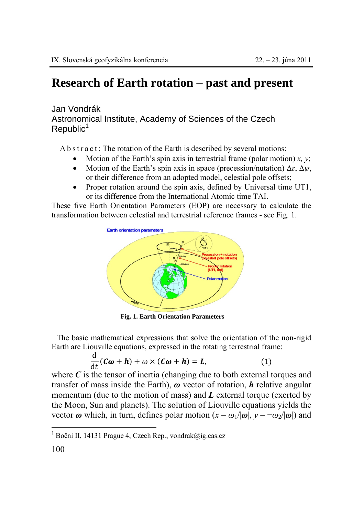## **Research of Earth rotation – past and present**

## Jan Vondrák Astronomical Institute, Academy of Sciences of the Czech  $Republic<sup>1</sup>$

A b s t r a c t : The rotation of the Earth is described by several motions:

- Motion of the Earth's spin axis in terrestrial frame (polar motion) *x, y*;
- Motion of the Earth's spin axis in space (precession/nutation) Δ*ε*, Δ*ψ*, or their difference from an adopted model, celestial pole offsets;
- Proper rotation around the spin axis, defined by Universal time UT1, or its difference from the International Atomic time TAI.

These five Earth Orientation Parameters (EOP) are necessary to calculate the transformation between celestial and terrestrial reference frames - see Fig. 1.



**Fig. 1. Earth Orientation Parameters**

The basic mathematical expressions that solve the orientation of the non-rigid Earth are Liouville equations, expressed in the rotating terrestrial frame:

$$
\frac{\mathrm{d}}{\mathrm{d}t}(\mathbf{C}\boldsymbol{\omega}+\boldsymbol{h})+\boldsymbol{\omega}\times(\mathbf{C}\boldsymbol{\omega}+\boldsymbol{h})=\boldsymbol{L},\qquad(1)
$$

where  $C$  is the tensor of inertia (changing due to both external torques and transfer of mass inside the Earth), *ω* vector of rotation, *h* relative angular momentum (due to the motion of mass) and *L* external torque (exerted by the Moon, Sun and planets). The solution of Liouville equations yields the vector  $\omega$  which, in turn, defines polar motion  $(x = \omega_1/|\omega|, y = -\omega_2/|\omega|)$  and

 $\overline{a}$ 

<sup>1</sup> Boční II, 14131 Prague 4, Czech Rep., vondrak@ig.cas.cz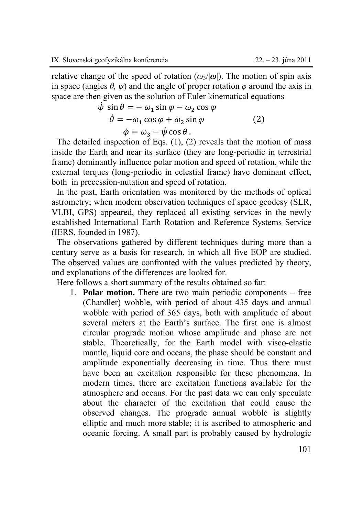relative change of the speed of rotation ( $\omega_3/\omega$ ). The motion of spin axis in space (angles  $\theta$ ,  $\psi$ ) and the angle of proper rotation  $\varphi$  around the axis in space are then given as the solution of Euler kinematical equations

$$
\psi \sin \theta = -\omega_1 \sin \varphi - \omega_2 \cos \varphi \n\dot{\theta} = -\omega_1 \cos \varphi + \omega_2 \sin \varphi \n\dot{\varphi} = \omega_3 - \dot{\psi} \cos \theta.
$$
\n(2)

The detailed inspection of Eqs. (1), (2) reveals that the motion of mass inside the Earth and near its surface (they are long-periodic in terrestrial frame) dominantly influence polar motion and speed of rotation, while the external torques (long-periodic in celestial frame) have dominant effect, both in precession-nutation and speed of rotation.

In the past, Earth orientation was monitored by the methods of optical astrometry; when modern observation techniques of space geodesy (SLR, VLBI, GPS) appeared, they replaced all existing services in the newly established International Earth Rotation and Reference Systems Service (IERS, founded in 1987).

The observations gathered by different techniques during more than a century serve as a basis for research, in which all five EOP are studied. The observed values are confronted with the values predicted by theory, and explanations of the differences are looked for.

Here follows a short summary of the results obtained so far:

1. **Polar motion.** There are two main periodic components – free (Chandler) wobble, with period of about 435 days and annual wobble with period of 365 days, both with amplitude of about several meters at the Earth's surface. The first one is almost circular prograde motion whose amplitude and phase are not stable. Theoretically, for the Earth model with visco-elastic mantle, liquid core and oceans, the phase should be constant and amplitude exponentially decreasing in time. Thus there must have been an excitation responsible for these phenomena. In modern times, there are excitation functions available for the atmosphere and oceans. For the past data we can only speculate about the character of the excitation that could cause the observed changes. The prograde annual wobble is slightly elliptic and much more stable; it is ascribed to atmospheric and oceanic forcing. A small part is probably caused by hydrologic